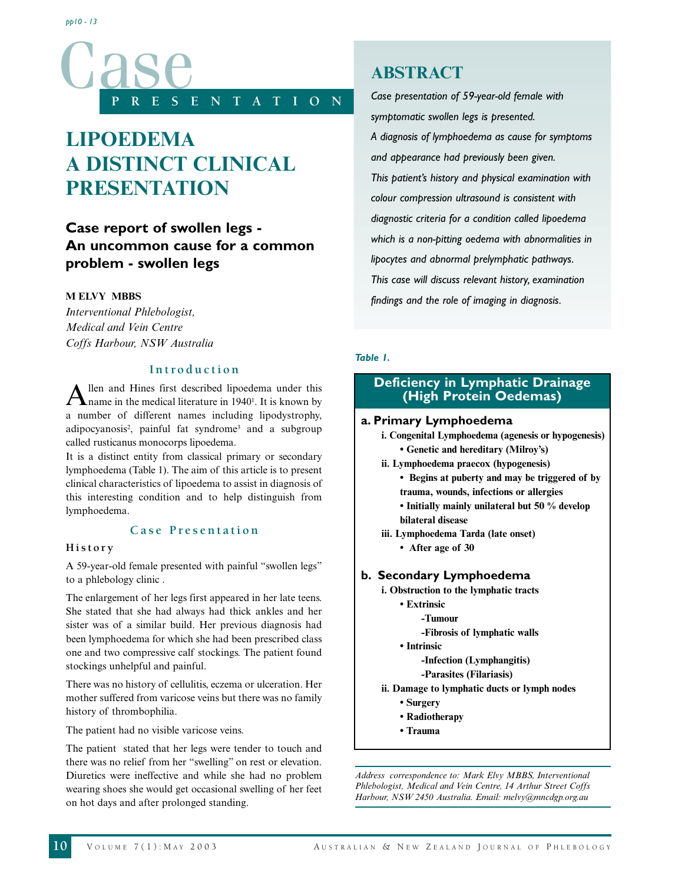

# **LIPOEDEMA A DISTINCT CLINICAL PRESENTATION**

# **Case report of swollen legs - An uncommon cause for a common problem - swollen legs**

#### **M ELVY MBBS**

*Interventional Phlebologist, Medical and Vein Centre Coffs Harbour, NSW Australia*

### **Introduction**

A llen and Hines first described lipoedema under this halo name in the medical literature in  $1940^1$ . It is known by a number of different names including lipodystrophy, adipocyanosis2, painful fat syndrome3 and a subgroup called rusticanus monocorps lipoedema.

It is a distinct entity from classical primary or secondary lymphoedema (Table 1). The aim of this article is to present clinical characteristics of lipoedema to assist in diagnosis of this interesting condition and to help distinguish from lymphoedema.

## **Case Presentation**

#### **History**

A 59-year-old female presented with painful "swollen legs" to a phlebology clinic .

The enlargement of her legs first appeared in her late teens. She stated that she had always had thick ankles and her sister was of a similar build. Her previous diagnosis had been lymphoedema for which she had been prescribed class one and two compressive calf stockings. The patient found stockings unhelpful and painful.

There was no history of cellulitis, eczema or ulceration. Her mother suffered from varicose veins but there was no family history of thrombophilia.

The patient had no visible varicose veins.

The patient stated that her legs were tender to touch and there was no relief from her "swelling" on rest or elevation. Diuretics were ineffective and while she had no problem wearing shoes she would get occasional swelling of her feet on hot days and after prolonged standing.

*Case presentation of 59-year-old female with symptomatic swollen legs is presented. A diagnosis of lymphoedema as cause for symptoms and appearance had previously been given. This patient's history and physical examination with colour compression ultrasound is consistent with diagnostic criteria for a condition called lipoedema which is a non-pitting oedema with abnormalities in lipocytes and abnormal prelymphatic pathways. This case will discuss relevant history, examination findings and the role of imaging in diagnosis.*

#### *Table 1.*

## **Deficiency in Lymphatic Drainage (High Protein Oedemas)**

#### **a. Primary Lymphoedema**

- **i. Congenital Lymphoedema (agenesis or hypogenesis) • Genetic and hereditary (Milroy's)**
- **ii. Lymphoedema praecox (hypogenesis) • Begins at puberty and may be triggered of by trauma, wounds, infections or allergies** 
	- **Initially mainly unilateral but 50 % develop bilateral disease**
- **iii. Lymphoedema Tarda (late onset)**
	- **After age of 30**

### **b. Secondary Lymphoedema**

**i. Obstruction to the lymphatic tracts** 

- **Extrinsic**
	- **-Tumour**
		- **-Fibrosis of lymphatic walls**
- **Intrinsic**
	- **-Infection (Lymphangitis)**

**-Parasites (Filariasis)**

**ii. Damage to lymphatic ducts or lymph nodes**

- **Surgery**
- **Radiotherapy**
- **Trauma**

*Address correspondence to: Mark Elvy MBBS, Interventional Phlebologist, Medical and Vein Centre, 14 Arthur Street Coffs Harbour, NSW 2450 Australia. Email: melvy@mncdgp.org.au*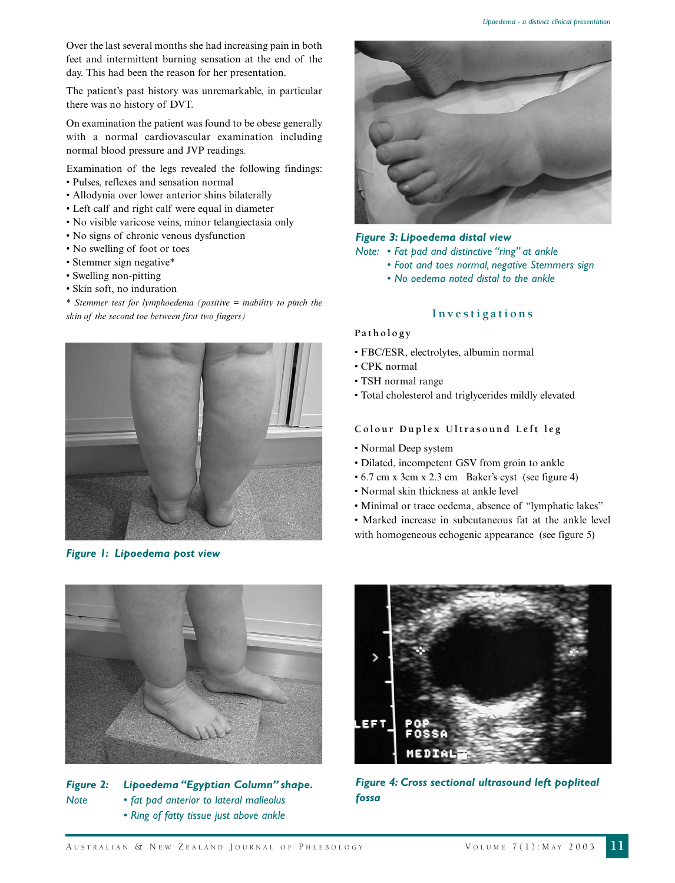Over the last several months she had increasing pain in both feet and intermittent burning sensation at the end of the day. This had been the reason for her presentation.

The patient's past history was unremarkable, in particular there was no history of DVT.

On examination the patient was found to be obese generally with a normal cardiovascular examination including normal blood pressure and JVP readings.

Examination of the legs revealed the following findings:

- Pulses, reflexes and sensation normal
- Allodynia over lower anterior shins bilaterally
- Left calf and right calf were equal in diameter
- No visible varicose veins, minor telangiectasia only
- No signs of chronic venous dysfunction
- No swelling of foot or toes
- Stemmer sign negative\*
- Swelling non-pitting
- Skin soft, no induration

*\* Stemmer test for lymphoedema (positive = inability to pinch the skin of the second toe between first two fingers)* **Investigations**



*Figure 1: Lipoedema post view*



#### *Figure 3: Lipoedema distal view*

- *Note: Fat pad and distinctive "ring" at ankle*
	- *Foot and toes normal, negative Stemmers sign*
	- *No oedema noted distal to the ankle*

#### **Pathology**

- FBC/ESR, electrolytes, albumin normal
- CPK normal
- TSH normal range
- Total cholesterol and triglycerides mildly elevated

#### **Colour Duplex Ultrasound Left leg**

- Normal Deep system
- Dilated, incompetent GSV from groin to ankle
- 6.7 cm x 3cm x 2.3 cm Baker's cyst (see figure 4)
- Normal skin thickness at ankle level
- Minimal or trace oedema, absence of "lymphatic lakes"
- Marked increase in subcutaneous fat at the ankle level with homogeneous echogenic appearance (see figure 5)



*Figure 2: Lipoedema "Egyptian Column" shape. Note • fat pad anterior to lateral malleolus • Ring of fatty tissue just above ankle*



*Figure 4: Cross sectional ultrasound left popliteal fossa*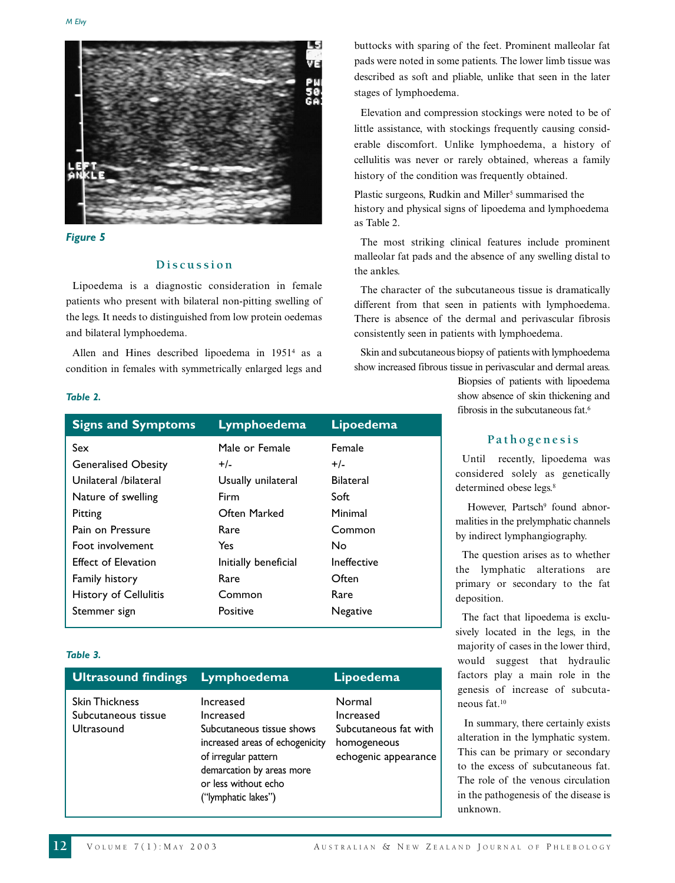

#### *Figure 5*

### **Discussion**

Lipoedema is a diagnostic consideration in female patients who present with bilateral non-pitting swelling of the legs. It needs to distinguished from low protein oedemas and bilateral lymphoedema.

Allen and Hines described lipoedema in 1951<sup>4</sup> as a condition in females with symmetrically enlarged legs and

#### *Table 2.*

| <b>Signs and Symptoms</b>  | Lymphoedema          | Lipoedema        |
|----------------------------|----------------------|------------------|
| Sex                        | Male or Female       | Female           |
| <b>Generalised Obesity</b> | $+/-$                | $+/-$            |
| Unilateral /bilateral      | Usually unilateral   | <b>Bilateral</b> |
| Nature of swelling         | Firm                 | Soft             |
| Pitting                    | Often Marked         | Minimal          |
| Pain on Pressure           | Rare                 | Common           |
| Foot involvement           | Yes                  | Nο               |
| <b>Effect of Elevation</b> | Initially beneficial | Ineffective      |
| <b>Family history</b>      | Rare                 | Often            |
| History of Cellulitis      | Common               | Rare             |
| Stemmer sign               | Positive             | Negative         |

#### *Table 3.*

| Ultrasound findings Lymphoedema                            |                                                                                                                                                                                            | Lipoedema                                                                           |
|------------------------------------------------------------|--------------------------------------------------------------------------------------------------------------------------------------------------------------------------------------------|-------------------------------------------------------------------------------------|
| <b>Skin Thickness</b><br>Subcutaneous tissue<br>Ultrasound | Increased<br>Increased<br>Subcutaneous tissue shows<br>increased areas of echogenicity<br>of irregular pattern<br>demarcation by areas more<br>or less without echo<br>("lymphatic lakes") | Normal<br>Increased<br>Subcutaneous fat with<br>homogeneous<br>echogenic appearance |

buttocks with sparing of the feet. Prominent malleolar fat pads were noted in some patients. The lower limb tissue was described as soft and pliable, unlike that seen in the later stages of lymphoedema.

Elevation and compression stockings were noted to be of little assistance, with stockings frequently causing considerable discomfort. Unlike lymphoedema, a history of cellulitis was never or rarely obtained, whereas a family history of the condition was frequently obtained.

Plastic surgeons, Rudkin and Miller<sup>5</sup> summarised the history and physical signs of lipoedema and lymphoedema as Table 2.

The most striking clinical features include prominent malleolar fat pads and the absence of any swelling distal to the ankles.

The character of the subcutaneous tissue is dramatically different from that seen in patients with lymphoedema. There is absence of the dermal and perivascular fibrosis consistently seen in patients with lymphoedema.

Skin and subcutaneous biopsy of patients with lymphoedema show increased fibrous tissue in perivascular and dermal areas.

> Biopsies of patients with lipoedema show absence of skin thickening and fibrosis in the subcutaneous fat.6

# **Pathogenesis**

Until recently, lipoedema was considered solely as genetically determined obese legs.<sup>8</sup>

However, Partsch<sup>9</sup> found abnormalities in the prelymphatic channels by indirect lymphangiography.

The question arises as to whether the lymphatic alterations are primary or secondary to the fat deposition.

The fact that lipoedema is exclusively located in the legs, in the majority of cases in the lower third, would suggest that hydraulic factors play a main role in the genesis of increase of subcutaneous fat.10

In summary, there certainly exists alteration in the lymphatic system. This can be primary or secondary to the excess of subcutaneous fat. The role of the venous circulation in the pathogenesis of the disease is unknown.